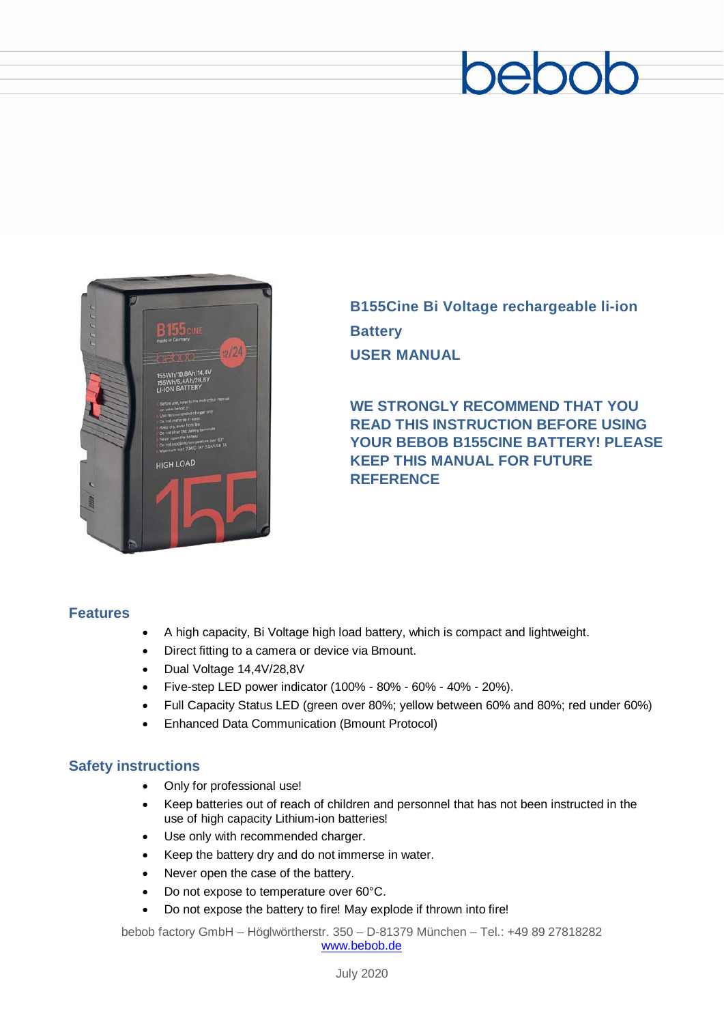# beboc



**B155Cine Bi Voltage rechargeable li-ion Battery USER MANUAL**

**WE STRONGLY RECOMMEND THAT YOU READ THIS INSTRUCTION BEFORE USING YOUR BEBOB B155CINE BATTERY! PLEASE KEEP THIS MANUAL FOR FUTURE REFERENCE**

#### **Features**

- A high capacity, Bi Voltage high load battery, which is compact and lightweight.
- Direct fitting to a camera or device via Bmount.
- Dual Voltage 14,4V/28,8V
- Five-step LED power indicator (100% 80% 60% 40% 20%).
- Full Capacity Status LED (green over 80%; yellow between 60% and 80%; red under 60%)
- Enhanced Data Communication (Bmount Protocol)

#### **Safety instructions**

- Only for professional use!
- Keep batteries out of reach of children and personnel that has not been instructed in the use of high capacity Lithium-ion batteries!
- Use only with recommended charger.
- Keep the battery dry and do not immerse in water.
- Never open the case of the battery.
- Do not expose to temperature over 60°C.
- Do not expose the battery to fire! May explode if thrown into fire!

bebob factory GmbH – Höglwörtherstr. 350 – D-81379 München – Tel.: +49 89 27818282 [www.bebob.de](http://www.bebob.de/)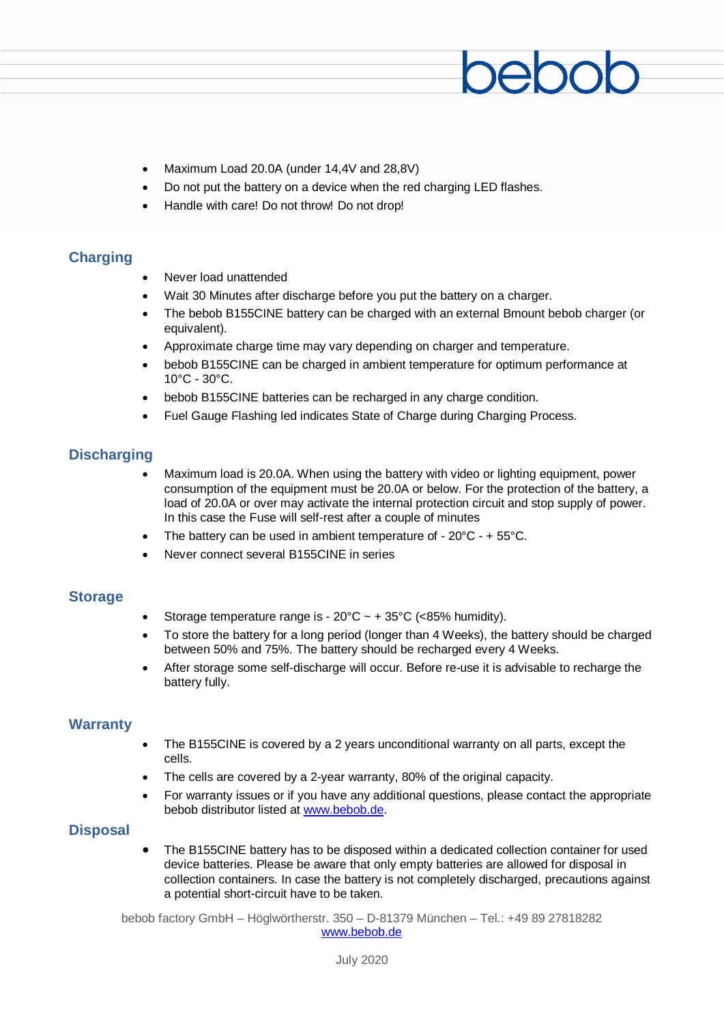- Maximum Load 20.0A (under 14,4V and 28,8V)
- Do not put the battery on a device when the red charging LED flashes.
- Handle with care! Do not throw! Do not drop!

#### **Charging**

- Never load unattended
- Wait 30 Minutes after discharge before you put the battery on a charger.
- The bebob B155CINE battery can be charged with an external Bmount bebob charger (or equivalent).
- Approximate charge time may vary depending on charger and temperature.
- bebob B155CINE can be charged in ambient temperature for optimum performance at 10°C - 30°C.
- bebob B155CINE batteries can be recharged in any charge condition.
- Fuel Gauge Flashing led indicates State of Charge during Charging Process.

#### **Discharging**

- Maximum load is 20.0A. When using the battery with video or lighting equipment, power consumption of the equipment must be 20.0A or below. For the protection of the battery, a load of 20.0A or over may activate the internal protection circuit and stop supply of power. In this case the Fuse will self-rest after a couple of minutes
- The battery can be used in ambient temperature of  $-20^{\circ}$ C  $-$  + 55 $^{\circ}$ C.
- Never connect several B155CINE in series

#### **Storage**

- Storage temperature range is  $20^{\circ}$ C ~ +  $35^{\circ}$ C (<85% humidity).
- To store the battery for a long period (longer than 4 Weeks), the battery should be charged between 50% and 75%. The battery should be recharged every 4 Weeks.
- After storage some self-discharge will occur. Before re-use it is advisable to recharge the battery fully.

#### **Warranty**

- The B155CINE is covered by a 2 years unconditional warranty on all parts, except the cells.
- The cells are covered by a 2-year warranty, 80% of the original capacity.
- For warranty issues or if you have any additional questions, please contact the appropriate bebob distributor listed at [www.bebob.de.](http://www.bebob.de/)

#### **Disposal**

• The B155CINE battery has to be disposed within a dedicated collection container for used device batteries. Please be aware that only empty batteries are allowed for disposal in collection containers. In case the battery is not completely discharged, precautions against a potential short-circuit have to be taken.

bebob factory GmbH – Höglwörtherstr. 350 – D-81379 München – Tel.: +49 89 27818282 [www.bebob.de](http://www.bebob.de/)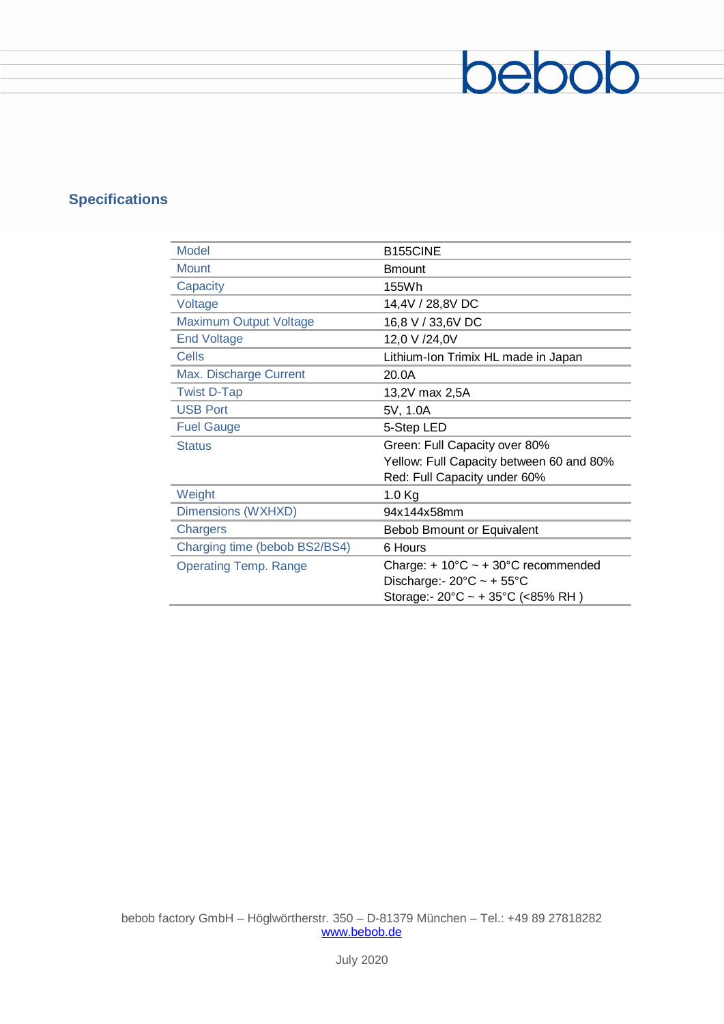## **Specifications**

| <b>Model</b>                  | B155CINE                                               |
|-------------------------------|--------------------------------------------------------|
| <b>Mount</b>                  | <b>Bmount</b>                                          |
| Capacity                      | 155Wh                                                  |
| Voltage                       | 14,4V / 28,8V DC                                       |
| <b>Maximum Output Voltage</b> | 16,8 V / 33,6V DC                                      |
| <b>End Voltage</b>            | 12,0 V /24,0V                                          |
| Cells                         | Lithium-Ion Trimix HL made in Japan                    |
| Max. Discharge Current        | 20.0A                                                  |
| <b>Twist D-Tap</b>            | 13,2V max 2,5A                                         |
| <b>USB Port</b>               | 5V, 1.0A                                               |
| <b>Fuel Gauge</b>             | 5-Step LED                                             |
| <b>Status</b>                 | Green: Full Capacity over 80%                          |
|                               | Yellow: Full Capacity between 60 and 80%               |
|                               | Red: Full Capacity under 60%                           |
| Weight                        | $1.0$ Kg                                               |
| Dimensions (WXHXD)            | 94x144x58mm                                            |
| Chargers                      | Bebob Bmount or Equivalent                             |
| Charging time (bebob BS2/BS4) | 6 Hours                                                |
| <b>Operating Temp. Range</b>  | Charge: $+10^{\circ}$ C ~ $+30^{\circ}$ C recommended  |
|                               | Discharge: - $20^{\circ}$ C ~ + $55^{\circ}$ C         |
|                               | Storage:- $20^{\circ}$ C ~ + 35 $^{\circ}$ C (<85% RH) |

bebob

bebob factory GmbH – Höglwörtherstr. 350 – D-81379 München – Tel.: +49 89 27818282 [www.bebob.de](http://www.bebob.de/)